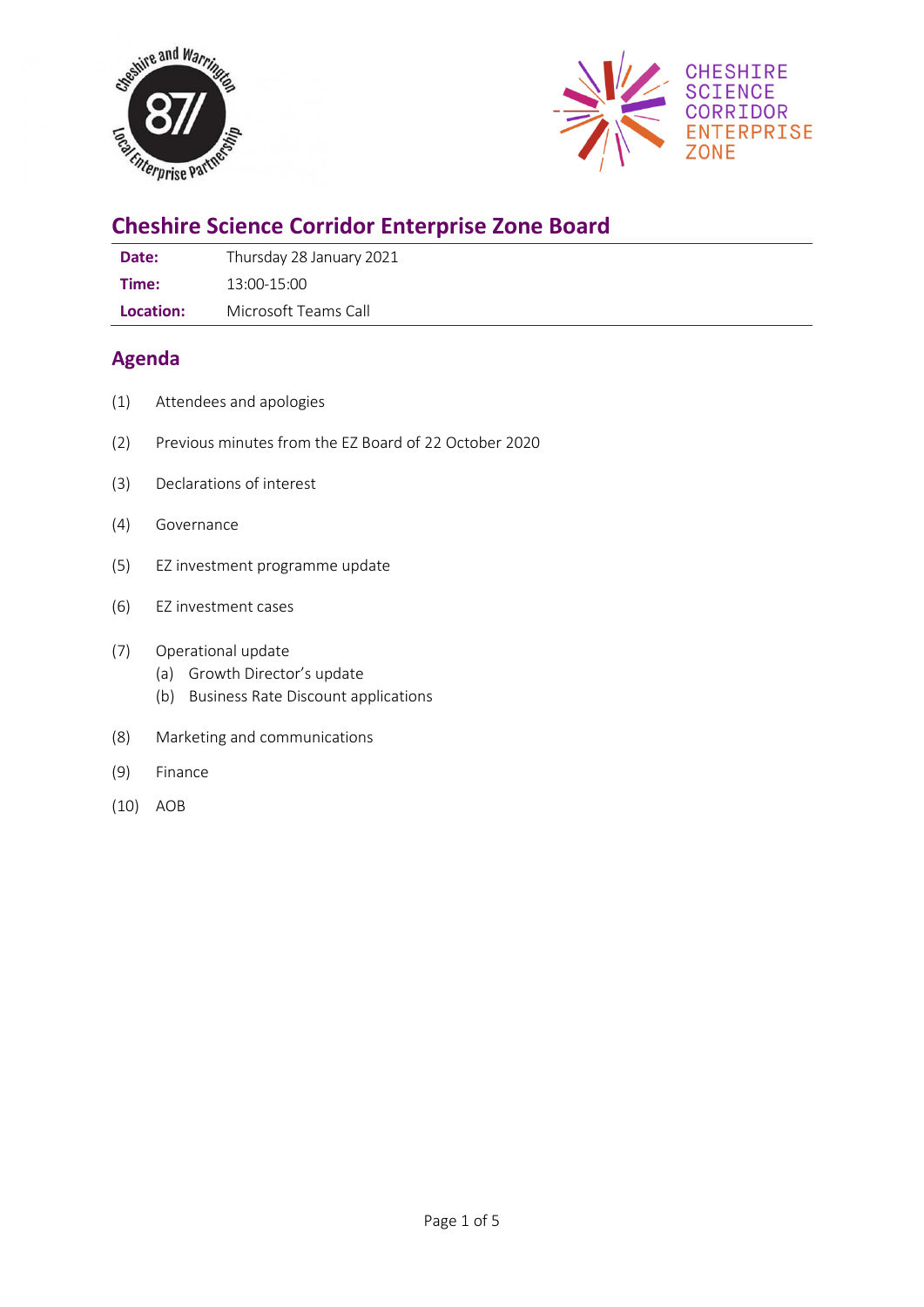



# **Cheshire Science Corridor Enterprise Zone Board**

| Date: | Thursday 28 January 2021 |
|-------|--------------------------|
|       |                          |

**Time:** 13:00-15:00

**Location:** Microsoft Teams Call

# **Agenda**

- (1) Attendees and apologies
- (2) Previous minutes from the EZ Board of 22 October 2020
- (3) Declarations of interest
- (4) Governance
- (5) EZ investment programme update
- (6) EZ investment cases

### (7) Operational update

- (a) Growth Director's update
- (b) Business Rate Discount applications
- (8) Marketing and communications
- (9) Finance
- (10) AOB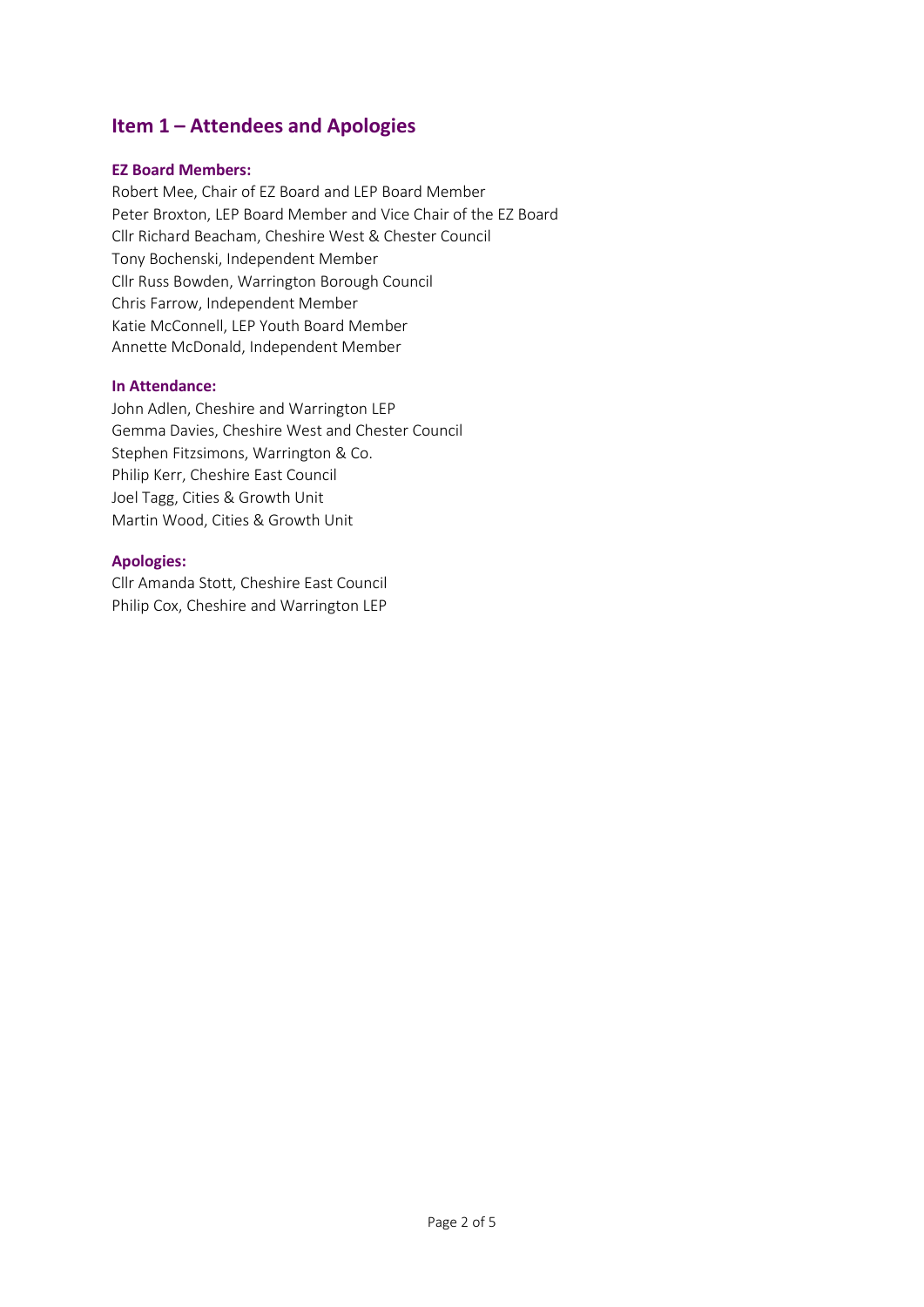# **Item 1 – Attendees and Apologies**

#### **EZ Board Members:**

Robert Mee, Chair of EZ Board and LEP Board Member Peter Broxton, LEP Board Member and Vice Chair of the EZ Board Cllr Richard Beacham, Cheshire West & Chester Council Tony Bochenski, Independent Member Cllr Russ Bowden, Warrington Borough Council Chris Farrow, Independent Member Katie McConnell, LEP Youth Board Member Annette McDonald, Independent Member

#### **In Attendance:**

John Adlen, Cheshire and Warrington LEP Gemma Davies, Cheshire West and Chester Council Stephen Fitzsimons, Warrington & Co. Philip Kerr, Cheshire East Council Joel Tagg, Cities & Growth Unit Martin Wood, Cities & Growth Unit

#### **Apologies:**

Cllr Amanda Stott, Cheshire East Council Philip Cox, Cheshire and Warrington LEP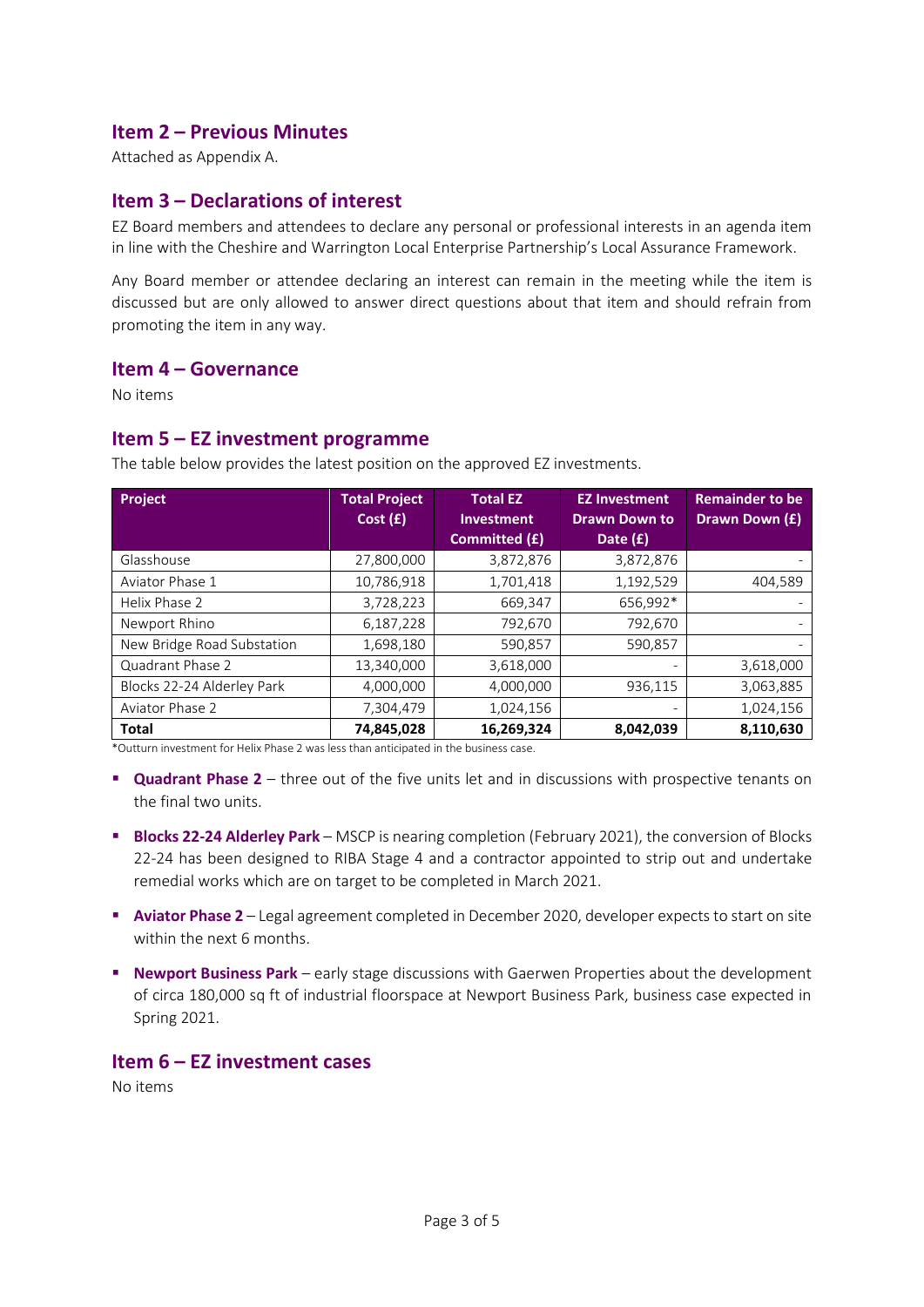### **Item 2 – Previous Minutes**

Attached as Appendix A.

### **Item 3 – Declarations of interest**

EZ Board members and attendees to declare any personal or professional interests in an agenda item in line with the Cheshire and Warrington Local Enterprise Partnership's Local Assurance Framework.

Any Board member or attendee declaring an interest can remain in the meeting while the item is discussed but are only allowed to answer direct questions about that item and should refrain from promoting the item in any way.

#### **Item 4 – Governance**

No items

#### **Item 5 – EZ investment programme**

**Project Total Project Cost (£) Total EZ Investment Committed (£) EZ Investment Drawn Down to Date (£) Remainder to be Drawn Down (£)** Glasshouse 27,800,000 3,872,876 3,872,876 - Aviator Phase 1 10,786,918 1,701,418 1,192,529 404,589 Helix Phase 2 | 3,728,223 | 3669,347 | 5656,992\* | 367 | 566,992 | 566,992 | 566,992 | 577 | 578 | 57 Newport Rhino 6,187,228 792,670 792,670 - New Bridge Road Substation | 1,698,180 | 590,857 | 590,857 Quadrant Phase 2 13,340,000 3,618,000 - 3,618,000 Blocks 22-24 Alderley Park  $\begin{array}{|c|c|c|c|c|c|} \hline 4,000,000 & 4,000,000 & 936,115 & 3,063,885 \hline \end{array}$ Aviator Phase 2 2 7,304,479 1,024,156 1,024,156 1,024,156 **Total 74,845,028 16,269,324 8,042,039 8,110,630**

The table below provides the latest position on the approved EZ investments.

\*Outturn investment for Helix Phase 2 was less than anticipated in the business case.

- **Quadrant Phase 2** three out of the five units let and in discussions with prospective tenants on the final two units.
- **E** Blocks 22-24 Alderley Park MSCP is nearing completion (February 2021), the conversion of Blocks 22-24 has been designed to RIBA Stage 4 and a contractor appointed to strip out and undertake remedial works which are on target to be completed in March 2021.
- **Aviator Phase 2** Legal agreement completed in December 2020, developer expects to start on site within the next 6 months.
- **EXECT PARK IN STAGE 2018 12 STAGE 10 META CONSTANT IN SERVIES ABOUT SHOW INCO PROPERTY New Property Property Property Property Rewport** Business Park early stage discussions with Gaerwen Properties about the develop of circa 180,000 sq ft of industrial floorspace at Newport Business Park, business case expected in Spring 2021.

### **Item 6 – EZ investment cases**

No items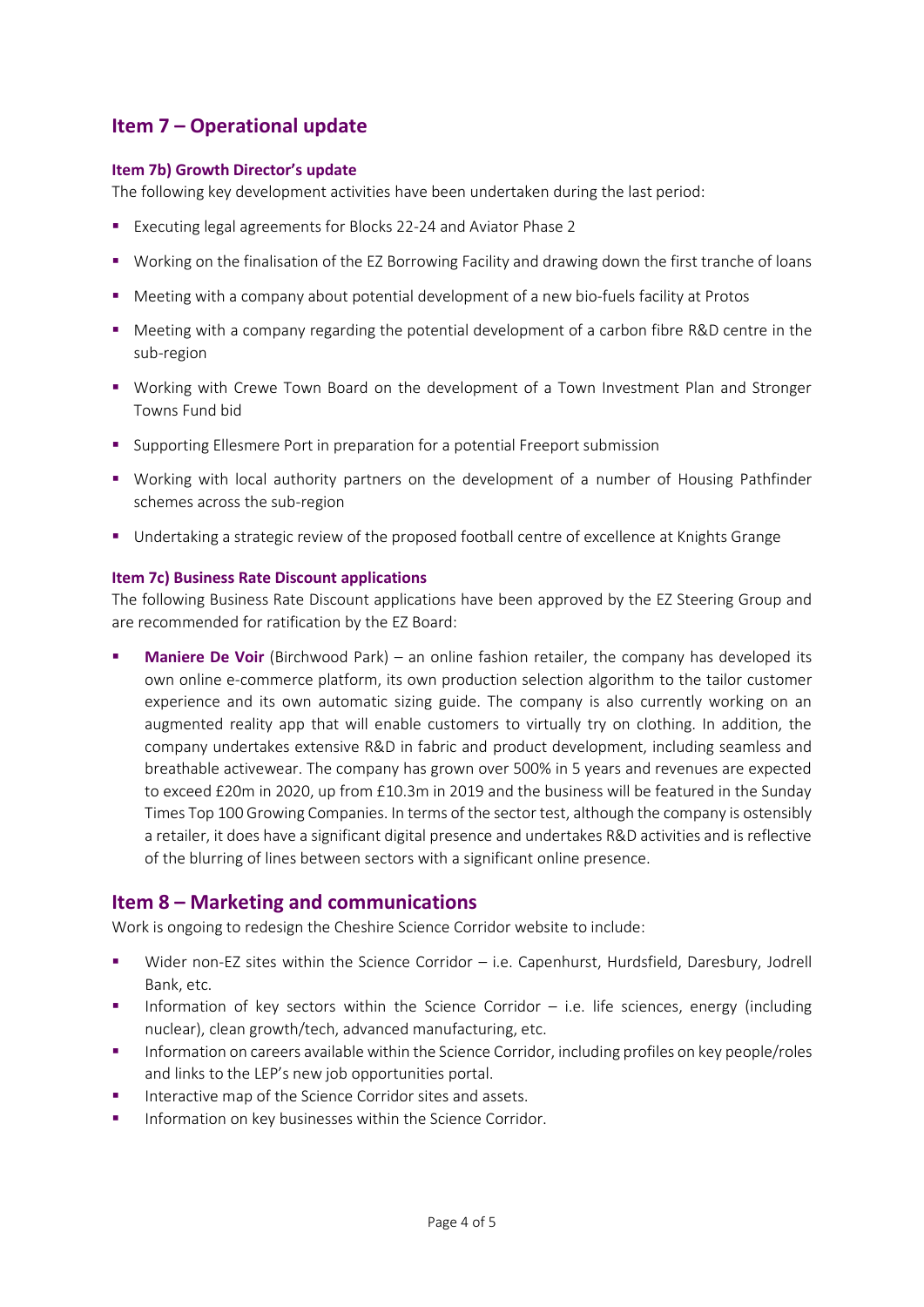# **Item 7 – Operational update**

#### **Item 7b) Growth Director's update**

The following key development activities have been undertaken during the last period:

- Executing legal agreements for Blocks 22-24 and Aviator Phase 2
- Working on the finalisation of the EZ Borrowing Facility and drawing down the first tranche of loans
- Meeting with a company about potential development of a new bio-fuels facility at Protos
- Meeting with a company regarding the potential development of a carbon fibre R&D centre in the sub-region
- Working with Crewe Town Board on the development of a Town Investment Plan and Stronger Towns Fund bid
- Supporting Ellesmere Port in preparation for a potential Freeport submission
- Working with local authority partners on the development of a number of Housing Pathfinder schemes across the sub-region
- Undertaking a strategic review of the proposed football centre of excellence at Knights Grange

#### **Item 7c) Business Rate Discount applications**

The following Business Rate Discount applications have been approved by the EZ Steering Group and are recommended for ratification by the EZ Board:

**• Maniere De Voir** (Birchwood Park) – an online fashion retailer, the company has developed its own online e-commerce platform, its own production selection algorithm to the tailor customer experience and its own automatic sizing guide. The company is also currently working on an augmented reality app that will enable customers to virtually try on clothing. In addition, the company undertakes extensive R&D in fabric and product development, including seamless and breathable activewear. The company has grown over 500% in 5 years and revenues are expected to exceed £20m in 2020, up from £10.3m in 2019 and the business will be featured in the Sunday Times Top 100 Growing Companies. In terms of the sector test, although the company is ostensibly a retailer, it does have a significant digital presence and undertakes R&D activities and is reflective of the blurring of lines between sectors with a significant online presence.

### **Item 8 – Marketing and communications**

Work is ongoing to redesign the Cheshire Science Corridor website to include:

- Wider non-EZ sites within the Science Corridor i.e. Capenhurst, Hurdsfield, Daresbury, Jodrell Bank, etc.
- Information of key sectors within the Science Corridor  $-$  i.e. life sciences, energy (including nuclear), clean growth/tech, advanced manufacturing, etc.
- Information on careers available within the Science Corridor, including profiles on key people/roles and links to the LEP's new job opportunities portal.
- Interactive map of the Science Corridor sites and assets.
- **■** Information on key businesses within the Science Corridor.